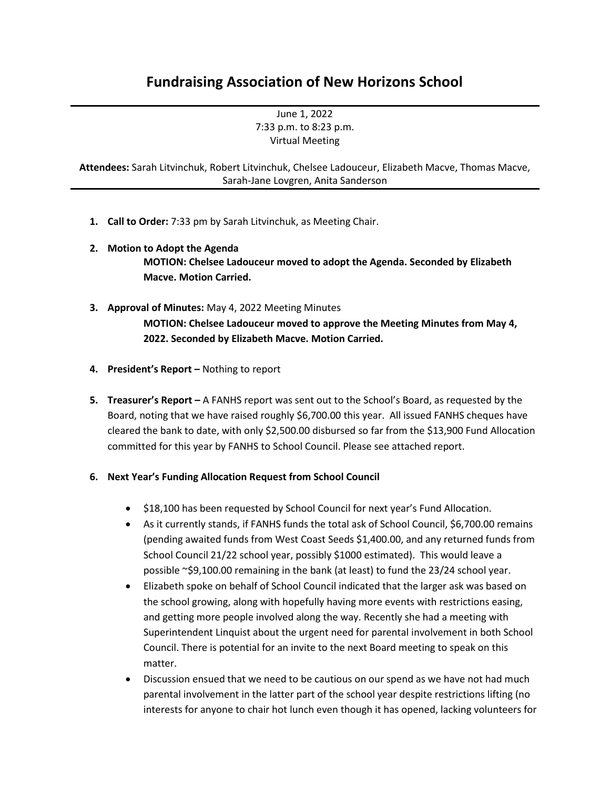## **Fundraising Association of New Horizons School**

June 1, 2022 7:33 p.m. to 8:23 p.m. Virtual Meeting

**Attendees:** Sarah Litvinchuk, Robert Litvinchuk, Chelsee Ladouceur, Elizabeth Macve, Thomas Macve, Sarah-Jane Lovgren, Anita Sanderson

- **1. Call to Order:** 7:33 pm by Sarah Litvinchuk, as Meeting Chair.
- **2. Motion to Adopt the Agenda MOTION: Chelsee Ladouceur moved to adopt the Agenda. Seconded by Elizabeth Macve. Motion Carried.**
- **3. Approval of Minutes:** May 4, 2022 Meeting Minutes **MOTION: Chelsee Ladouceur moved to approve the Meeting Minutes from May 4, 2022. Seconded by Elizabeth Macve. Motion Carried.**
- **4. President's Report –** Nothing to report
- **5. Treasurer's Report –** A FANHS report was sent out to the School's Board, as requested by the Board, noting that we have raised roughly \$6,700.00 this year. All issued FANHS cheques have cleared the bank to date, with only \$2,500.00 disbursed so far from the \$13,900 Fund Allocation committed for this year by FANHS to School Council. Please see attached report.
- **6. Next Year's Funding Allocation Request from School Council**
	- \$18,100 has been requested by School Council for next year's Fund Allocation.
	- As it currently stands, if FANHS funds the total ask of School Council, \$6,700.00 remains (pending awaited funds from West Coast Seeds \$1,400.00, and any returned funds from School Council 21/22 school year, possibly \$1000 estimated). This would leave a possible ~\$9,100.00 remaining in the bank (at least) to fund the 23/24 school year.
	- Elizabeth spoke on behalf of School Council indicated that the larger ask was based on the school growing, along with hopefully having more events with restrictions easing, and getting more people involved along the way. Recently she had a meeting with Superintendent Linquist about the urgent need for parental involvement in both School Council. There is potential for an invite to the next Board meeting to speak on this matter.
	- Discussion ensued that we need to be cautious on our spend as we have not had much parental involvement in the latter part of the school year despite restrictions lifting (no interests for anyone to chair hot lunch even though it has opened, lacking volunteers for